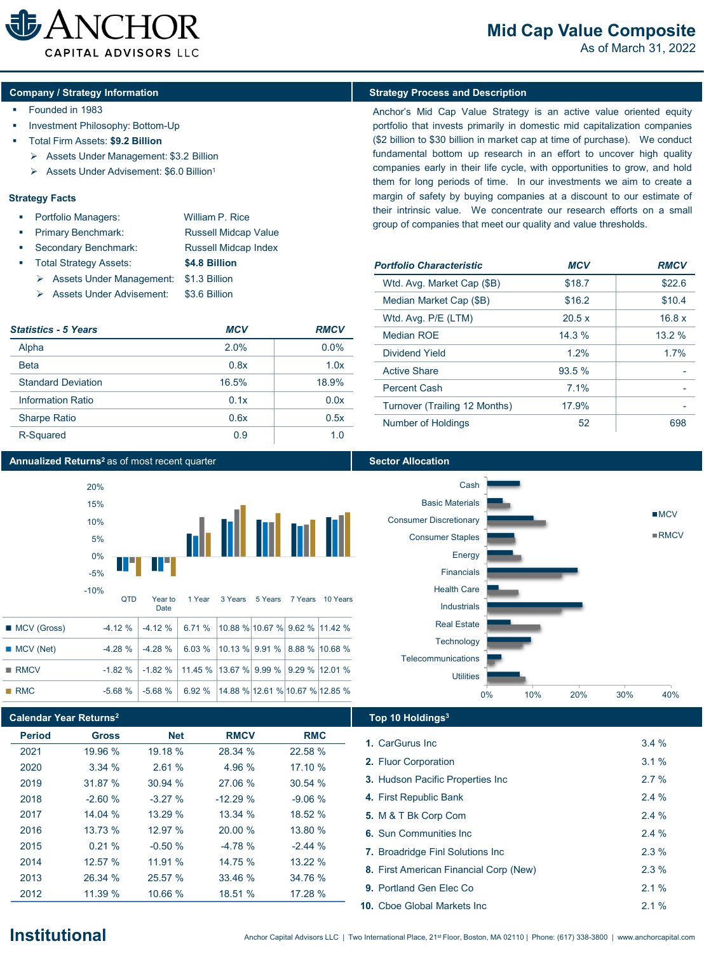

# **Mid Cap Value Composite**

As of March 31, 2022

## **Company** / Strategy Information **Strategy Process and Description**

- **Founded in 1983**
- Investment Philosophy: Bottom-Up
- Total Firm Assets: **\$9.2 Billion**
	- Assets Under Management: \$3.2 Billion
	- Assets Under Advisement: \$6.0 Billion1

## **Strategy Facts**

| л. | <b>Portfolio Managers:</b> |  | William P. Rice |  |  |  |
|----|----------------------------|--|-----------------|--|--|--|
|    |                            |  |                 |  |  |  |

- Primary Benchmark: Russell Midcap Value Secondary Benchmark: Russell Midcap Index
- Total Strategy Assets: **\$4.8 Billion**
- Assets Under Management: \$1.3 Billion
	- Assets Under Advisement: \$3.6 Billion

| <b>Statistics - 5 Years</b> | MCV   | <b>RMCV</b> |  |  |
|-----------------------------|-------|-------------|--|--|
| Alpha                       | 2.0%  | $0.0\%$     |  |  |
| <b>Beta</b>                 | 0.8x  | 1.0x        |  |  |
| <b>Standard Deviation</b>   | 16.5% | 18.9%       |  |  |
| Information Ratio           | 0.1x  | 0.0x        |  |  |
| <b>Sharpe Ratio</b>         | 0.6x  | 0.5x        |  |  |
| R-Squared                   | 0.9   | 1 O         |  |  |

## **Annualized Returns<sup>2</sup> as of most recent quarter <b>Sector Allocation Sector Allocation**



|                     | Date                                                                   |  |  |  |
|---------------------|------------------------------------------------------------------------|--|--|--|
| ■ MCV (Gross)       | $-4.12\%$ $-4.12\%$ 6.71 % 10.88 % 10.67 % 9.62 % 11.42 %              |  |  |  |
| $MCV$ (Net)         | $-4.28\%$ $-4.28\%$ 6.03 % 10.13 % 9.91 % 8.88 % 10.68 %               |  |  |  |
| $\blacksquare$ RMCV | $-1.82\%$ $-1.82\%$   11.45 %   13.67 %   9.99 %   9.29 %   12.01 %    |  |  |  |
| RMC                 | $-5.68\%$   $-5.68\%$   6.92 %   14.88 %   12.61 %   10.67 %   12.85 % |  |  |  |

## **Calendar Year Returns2 Top 10 Holdings3**

| <b>Period</b> | <b>Gross</b> | <b>Net</b> | <b>RMCV</b> | <b>RMC</b> |
|---------------|--------------|------------|-------------|------------|
| 2021          | 19.96 %      | 19.18 %    | 28.34 %     | 22.58 %    |
| 2020          | 3.34%        | 2.61%      | 4.96 %      | 17.10 %    |
| 2019          | 31 87 %      | 30.94%     | 27 06 %     | 30.54%     |
| 2018          | $-2.60%$     | $-3.27%$   | $-12.29%$   | $-9.06%$   |
| 2017          | 14 $04\%$    | 13 29 %    | 13.34%      | 18.52 %    |
| 2016          | 13 73 %      | 12 97 %    | 20.00 %     | 13.80 %    |
| 2015          | 0.21%        | $-0.50%$   | $-4.78%$    | $-244%$    |
| 2014          | 12 57 %      | 11 91 %    | 14 75 %     | 1322%      |
| 2013          | 26.34 %      | 25.57 %    | 33.46 %     | 34.76 %    |
| 2012          | 11.39 %      | 10.66 %    | 18.51 %     | 17.28 %    |

Anchor's Mid Cap Value Strategy is an active value oriented equity portfolio that invests primarily in domestic mid capitalization companies (\$2 billion to \$30 billion in market cap at time of purchase). We conduct fundamental bottom up research in an effort to uncover high quality companies early in their life cycle, with opportunities to grow, and hold them for long periods of time. In our investments we aim to create a margin of safety by buying companies at a discount to our estimate of their intrinsic value. We concentrate our research efforts on a small group of companies that meet our quality and value thresholds.

| <b>Portfolio Characteristic</b> | <b>MCV</b> | <b>RMCV</b> |  |  |
|---------------------------------|------------|-------------|--|--|
| Wtd. Avg. Market Cap (\$B)      | \$18.7     | \$22.6      |  |  |
| Median Market Cap (\$B)         | \$16.2     | \$10.4      |  |  |
| Wtd. Avg. P/E (LTM)             | 20.5 x     | 16.8 x      |  |  |
| Median ROE                      | 14.3%      | 13.2%       |  |  |
| Dividend Yield                  | 1.2%       | 17%         |  |  |
| <b>Active Share</b>             | 93.5%      |             |  |  |
| <b>Percent Cash</b>             | $7.1\%$    |             |  |  |
| Turnover (Trailing 12 Months)   | 17.9%      |             |  |  |
| Number of Holdings              | 52         | 698         |  |  |





| 1. CarGurus Inc.                         | 3.4% |
|------------------------------------------|------|
| 2. Fluor Corporation                     | 3.1% |
| 3. Hudson Pacific Properties Inc.        | 2.7% |
| 4. First Republic Bank                   | 2.4% |
| 5. M & T Bk Corp Com                     | 2.4% |
| 6. Sun Communities Inc.                  | 2.4% |
| <b>7.</b> Broadridge Finl Solutions Inc. | 2.3% |
| 8. First American Financial Corp (New)   | 2.3% |
| <b>9. Portland Gen Elec Co</b>           | 2.1% |
| <b>10.</b> Cboe Global Markets Inc.      | 21%  |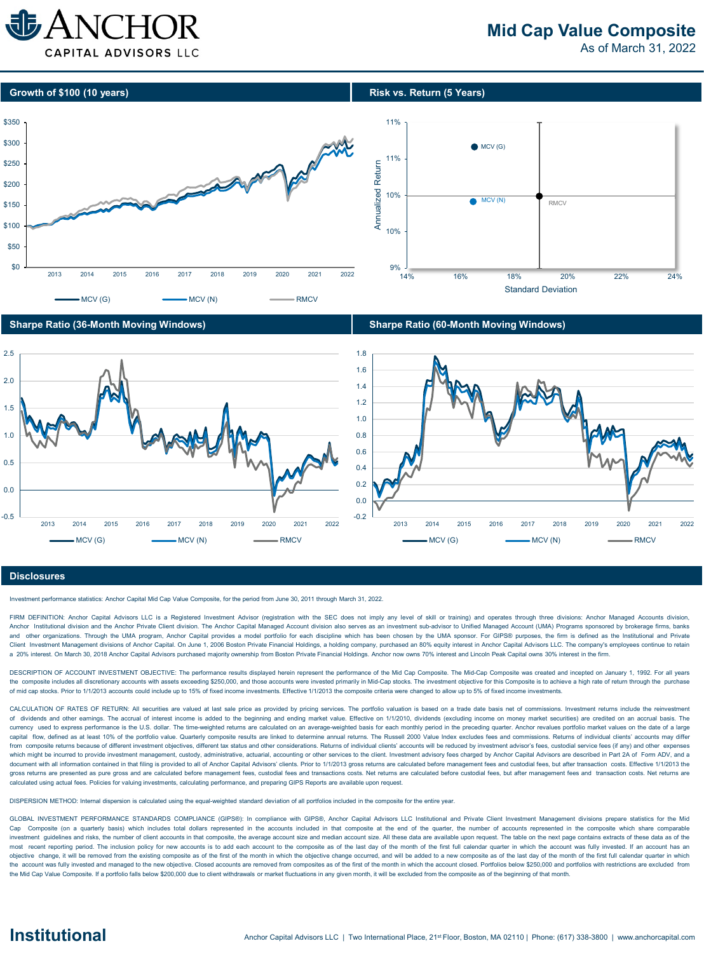

# **Mid Cap Value Composite**

As of March 31, 2022









## **Disclosures**

Investment performance statistics: Anchor Capital Mid Cap Value Composite, for the period from June 30, 2011 through March 31, 2022.

FIRM DEFINITION: Anchor Capital Advisors LLC is a Registered Investment Advisor (registration with the SEC does not imply any level of skill or training) and operates through three divisions: Anchor Managed Accounts divisi Anchor Institutional division and the Anchor Private Client division. The Anchor Capital Managed Account division also serves as an investment sub-advisor to Unified Managed Account (UMA) Programs sponsored by brokerage fi and other organizations. Through the UMA program, Anchor Capital provides a model portfolio for each discipline which has been chosen by the UMA sponsor. For GIPS® purposes, the firm is defined as the Institutional and Pri Client Investment Management divisions of Anchor Capital. On June 1, 2006 Boston Private Financial Holdings, a holding company, purchased an 80% equity interest in Anchor Capital Advisors LLC. The company's employees conti a 20% interest. On March 30, 2018 Anchor Capital Advisors purchased majority ownership from Boston Private Financial Holdings. Anchor now owns 70% interest and Lincoln Peak Capital owns 30% interest in the firm.

DESCRIPTION OF ACCOUNT INVESTMENT OBJECTIVE: The performance results displayed herein represent the performance of the Mid Cap Composite. The Mid-Cap Composite was created and incepted on January 1, 1992. For all years the composite includes all discretionary accounts with assets exceeding \$250,000, and those accounts were invested primarily in Mid-Cap stocks. The investment objective for this Composite is to achieve a high rate of retur of mid cap stocks. Prior to 1/1/2013 accounts could include up to 15% of fixed income investments. Effective 1/1/2013 the composite criteria were changed to allow up to 5% of fixed income investments.

CALCULATION OF RATES OF RETURN: All securities are valued at last sale price as provided by pricing services. The portfolio valuation is based on a trade date basis net of commissions. Investment returns include the reinve of dividends and other earnings. The accrual of interest income is added to the beginning and ending market value. Effective on 1/1/2010, dividends (excluding income on money market securities) are credited on an accrual b currency used to express performance is the U.S. dollar. The time-weighted returns are calculated on an average-weighted basis for each monthly period in the preceding quarter. Anchor revalues portfolio market values on th capital flow, defined as at least 10% of the portfolio value. Quarterly composite results are linked to determine annual returns. The Russell 2000 Value Index excludes fees and commissions. Returns of individual clients' a from composite returns because of different investment objectives, different tax status and other considerations. Returns of individual clients' accounts will be reduced by investment advisor's fees, custodial service fees which might be incurred to provide investment management, custody, administrative, actuarial, accounting or other services to the client. Investment advisory fees charged by Anchor Capital Advisors are described in Part 2A document with all information contained in that filing is provided to all of Anchor Capital Advisors' clients. Prior to 1/1/2013 gross returns are calculated before management fees and custodial fees, but after transaction gross returns are presented as pure gross and are calculated before management fees, custodial fees and transactions costs. Net returns are calculated before custodial fees, but after management fees and transaction costs. calculated using actual fees. Policies for valuing investments, calculating performance, and preparing GIPS Reports are available upon request.

DISPERSION METHOD: Internal dispersion is calculated using the equal-weighted standard deviation of all portfolios included in the composite for the entire year.

GLOBAL INVESTMENT PERFORMANCE STANDARDS COMPLIANCE (GIPS®): In compliance with GIPS®, Anchor Capital Advisors LLC Institutional and Private Client Investment Management divisions prepare statistics for the Mid Cap Composite (on a quarterly basis) which includes total dollars represented in the accounts included in that composite at the end of the quarter, the number of accounts represented in the composite which share comparable investment quidelines and risks, the number of client accounts in that composite, the average account size and median account size. All these data are available upon request. The table on the next page contains extracts of most recent reporting period. The inclusion policy for new accounts is to add each account to the composite as of the last day of the month of the first full calendar quarter in which the account was fully invested. If an objective change, if will be removed from the existing composite as of the first of the month in which the objective change occurred, and will be added to a new composite as of the last day of the month of the first full c the account was fully invested and managed to the new objective. Closed accounts are removed from composites as of the first of the month in which the account closed. Portfolios below \$250,000 and portfolios with restricti the Mid Cap Value Composite. If a portfolio falls below \$200,000 due to client withdrawals or market fluctuations in any given month, it will be excluded from the composite as of the beginning of that month.